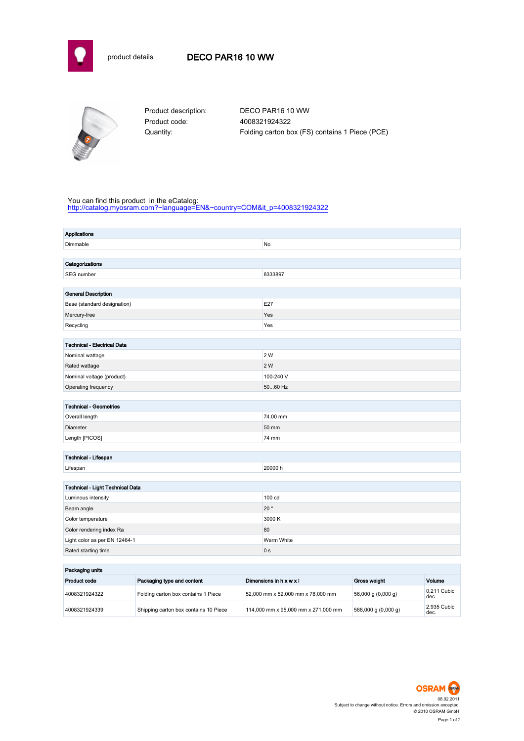



Product code: 4008321924322

Product description: DECO PAR16 10 WW Quantity: Folding carton box (FS) contains 1 Piece (PCE)

## You can find this product in the eCatalog:

[http://catalog.myosram.com?~language=EN&~country=COM&it\\_p=4008321924322](http://catalog.myosram.com?~language=EN&~country=COM&it_p=4008321924322)

| Applications                       |                |  |  |
|------------------------------------|----------------|--|--|
| Dimmable                           | No             |  |  |
|                                    |                |  |  |
| Categorizations                    |                |  |  |
| SEG number                         | 8333897        |  |  |
|                                    |                |  |  |
| <b>General Description</b>         |                |  |  |
| Base (standard designation)        | E27            |  |  |
| Mercury-free                       | Yes            |  |  |
| Recycling                          | Yes            |  |  |
|                                    |                |  |  |
| <b>Technical - Electrical Data</b> |                |  |  |
| Nominal wattage                    | 2 W            |  |  |
| Rated wattage                      | 2 W            |  |  |
| Nominal voltage (product)          | 100-240 V      |  |  |
| Operating frequency                | 5060 Hz        |  |  |
|                                    |                |  |  |
| <b>Technical - Geometries</b>      |                |  |  |
| Overall length                     | 74.00 mm       |  |  |
| Diameter                           | 50 mm          |  |  |
| Length [PICOS]                     | 74 mm          |  |  |
|                                    |                |  |  |
| Technical - Lifespan               |                |  |  |
| Lifespan                           | 20000 h        |  |  |
| Technical - Light Technical Data   |                |  |  |
| Luminous intensity                 | 100 cd         |  |  |
| Beam angle                         | $20^{\circ}$   |  |  |
| Color temperature                  | 3000 K         |  |  |
| Color rendering index Ra           | 80             |  |  |
| Light color as per EN 12464-1      | Warm White     |  |  |
| Rated starting time                | 0 <sub>s</sub> |  |  |
|                                    |                |  |  |
|                                    |                |  |  |

| Packaging units |                                       |                                     |                                      |                     |  |
|-----------------|---------------------------------------|-------------------------------------|--------------------------------------|---------------------|--|
| Product code    | Packaging type and content            | Dimensions in h x w x l             | Gross weight                         | Volume              |  |
| 4008321924322   | Folding carton box contains 1 Piece   | 52,000 mm x 52,000 mm x 78,000 mm   | $56,000 \text{ g} (0,000 \text{ g})$ | 0.211 Cubic<br>dec. |  |
| 4008321924339   | Shipping carton box contains 10 Piece | 114,000 mm x 95,000 mm x 271,000 mm | 588,000 g (0,000 g)                  | 2.935 Cubic<br>dec. |  |